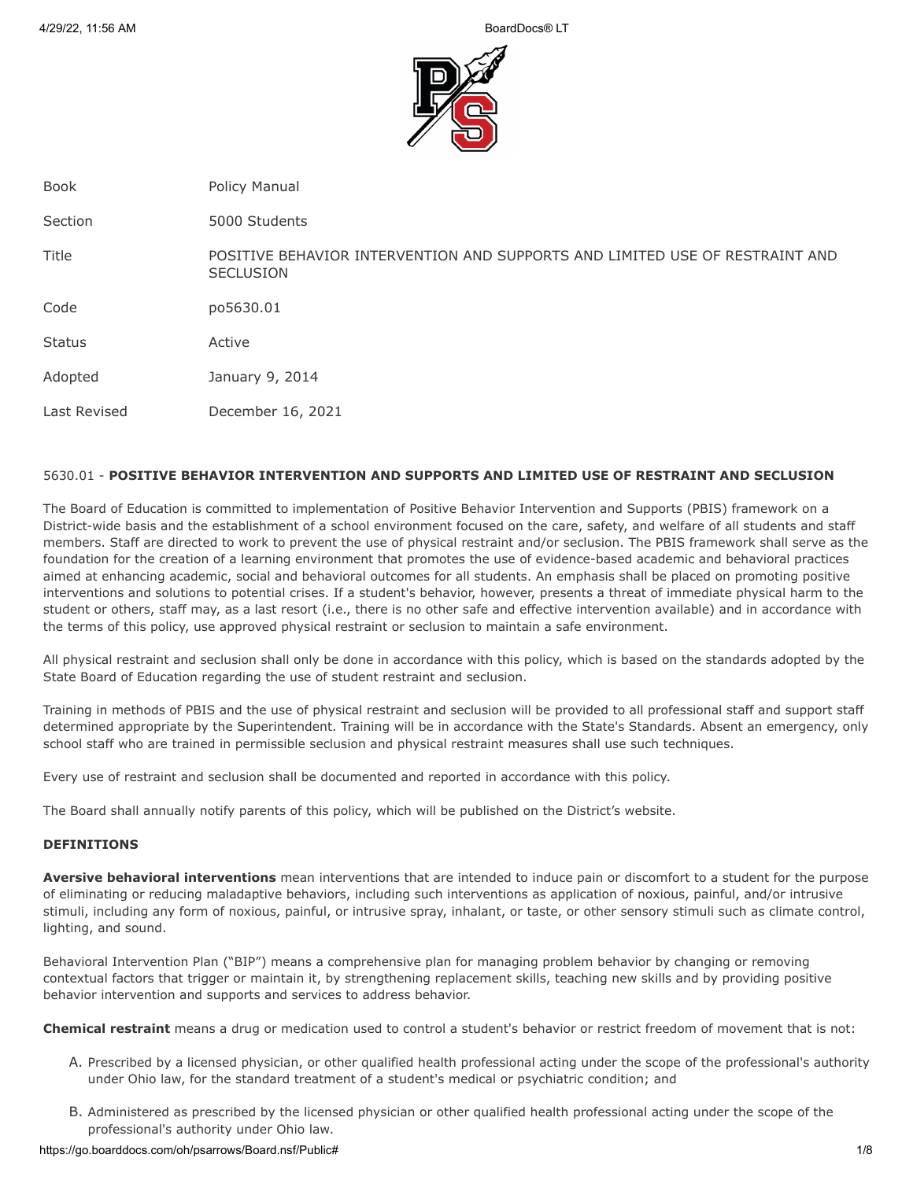

Book **Policy Manual** 

Section 5000 Students

Title POSITIVE BEHAVIOR INTERVENTION AND SUPPORTS AND LIMITED USE OF RESTRAINT AND **SECLUSION** 

Code po5630.01

Status Active

Adopted January 9, 2014

Last Revised December 16, 2021

# 5630.01 - **POSITIVE BEHAVIOR INTERVENTION AND SUPPORTS AND LIMITED USE OF RESTRAINT AND SECLUSION**

The Board of Education is committed to implementation of Positive Behavior Intervention and Supports (PBIS) framework on a District-wide basis and the establishment of a school environment focused on the care, safety, and welfare of all students and staff members. Staff are directed to work to prevent the use of physical restraint and/or seclusion. The PBIS framework shall serve as the foundation for the creation of a learning environment that promotes the use of evidence-based academic and behavioral practices aimed at enhancing academic, social and behavioral outcomes for all students. An emphasis shall be placed on promoting positive interventions and solutions to potential crises. If a student's behavior, however, presents a threat of immediate physical harm to the student or others, staff may, as a last resort (i.e., there is no other safe and effective intervention available) and in accordance with the terms of this policy, use approved physical restraint or seclusion to maintain a safe environment.

All physical restraint and seclusion shall only be done in accordance with this policy, which is based on the standards adopted by the State Board of Education regarding the use of student restraint and seclusion.

Training in methods of PBIS and the use of physical restraint and seclusion will be provided to all professional staff and support staff determined appropriate by the Superintendent. Training will be in accordance with the State's Standards. Absent an emergency, only school staff who are trained in permissible seclusion and physical restraint measures shall use such techniques.

Every use of restraint and seclusion shall be documented and reported in accordance with this policy.

The Board shall annually notify parents of this policy, which will be published on the District's website.

# **DEFINITIONS**

**Aversive behavioral interventions** mean interventions that are intended to induce pain or discomfort to a student for the purpose of eliminating or reducing maladaptive behaviors, including such interventions as application of noxious, painful, and/or intrusive stimuli, including any form of noxious, painful, or intrusive spray, inhalant, or taste, or other sensory stimuli such as climate control, lighting, and sound.

Behavioral Intervention Plan ("BIP") means a comprehensive plan for managing problem behavior by changing or removing contextual factors that trigger or maintain it, by strengthening replacement skills, teaching new skills and by providing positive behavior intervention and supports and services to address behavior.

**Chemical restraint** means a drug or medication used to control a student's behavior or restrict freedom of movement that is not:

- A. Prescribed by a licensed physician, or other qualified health professional acting under the scope of the professional's authority under Ohio law, for the standard treatment of a student's medical or psychiatric condition; and
- B. Administered as prescribed by the licensed physician or other qualified health professional acting under the scope of the professional's authority under Ohio law.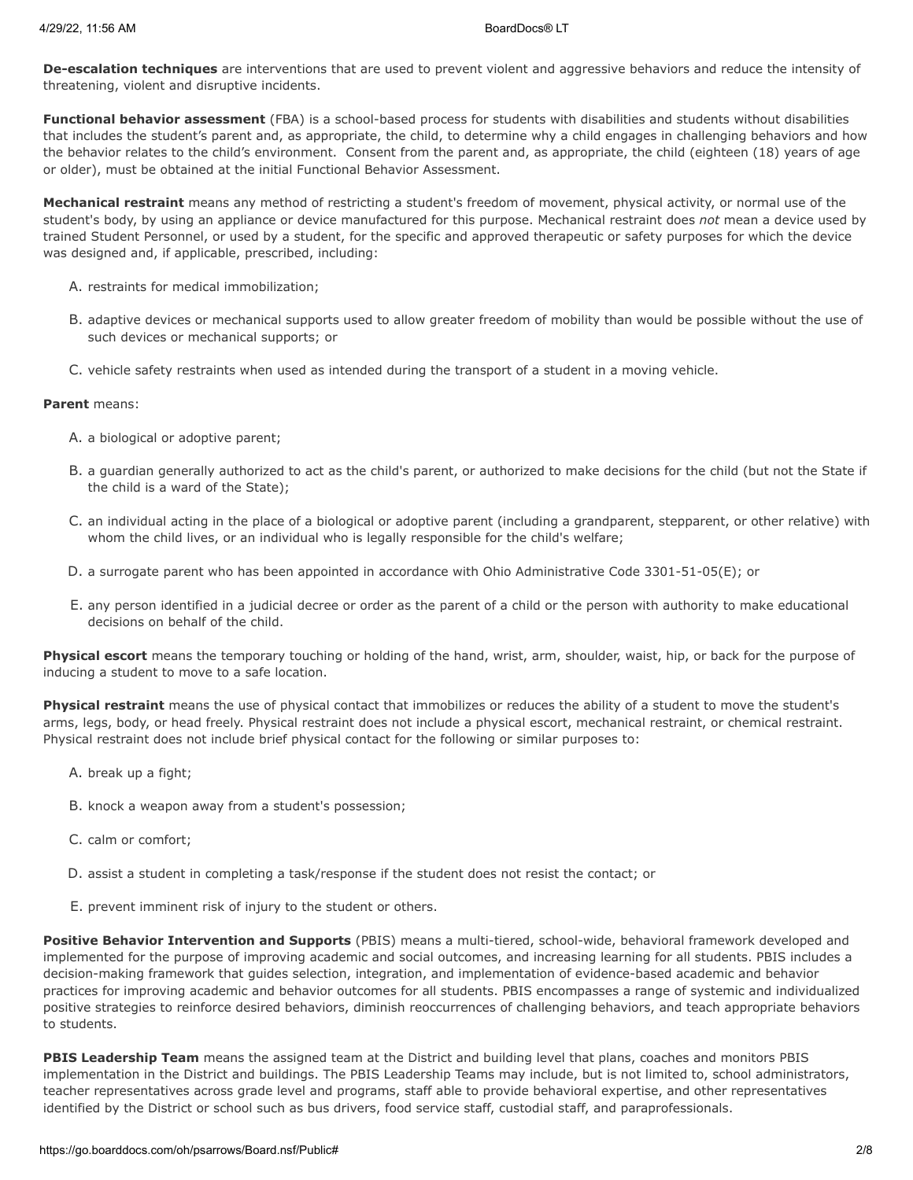**De-escalation techniques** are interventions that are used to prevent violent and aggressive behaviors and reduce the intensity of threatening, violent and disruptive incidents.

**Functional behavior assessment** (FBA) is a school-based process for students with disabilities and students without disabilities that includes the student's parent and, as appropriate, the child, to determine why a child engages in challenging behaviors and how the behavior relates to the child's environment. Consent from the parent and, as appropriate, the child (eighteen (18) years of age or older), must be obtained at the initial Functional Behavior Assessment.

**Mechanical restraint** means any method of restricting a student's freedom of movement, physical activity, or normal use of the student's body, by using an appliance or device manufactured for this purpose. Mechanical restraint does *not* mean a device used by trained Student Personnel, or used by a student, for the specific and approved therapeutic or safety purposes for which the device was designed and, if applicable, prescribed, including:

- A. restraints for medical immobilization;
- B. adaptive devices or mechanical supports used to allow greater freedom of mobility than would be possible without the use of such devices or mechanical supports; or
- C. vehicle safety restraints when used as intended during the transport of a student in a moving vehicle.

## **Parent** means:

- A. a biological or adoptive parent;
- B. a guardian generally authorized to act as the child's parent, or authorized to make decisions for the child (but not the State if the child is a ward of the State);
- C. an individual acting in the place of a biological or adoptive parent (including a grandparent, stepparent, or other relative) with whom the child lives, or an individual who is legally responsible for the child's welfare;
- D. a surrogate parent who has been appointed in accordance with Ohio Administrative Code 3301-51-05(E); or
- E. any person identified in a judicial decree or order as the parent of a child or the person with authority to make educational decisions on behalf of the child.

**Physical escort** means the temporary touching or holding of the hand, wrist, arm, shoulder, waist, hip, or back for the purpose of inducing a student to move to a safe location.

**Physical restraint** means the use of physical contact that immobilizes or reduces the ability of a student to move the student's arms, legs, body, or head freely. Physical restraint does not include a physical escort, mechanical restraint, or chemical restraint. Physical restraint does not include brief physical contact for the following or similar purposes to:

- A. break up a fight;
- B. knock a weapon away from a student's possession;
- C. calm or comfort;
- D. assist a student in completing a task/response if the student does not resist the contact; or
- E. prevent imminent risk of injury to the student or others.

**Positive Behavior Intervention and Supports** (PBIS) means a multi-tiered, school-wide, behavioral framework developed and implemented for the purpose of improving academic and social outcomes, and increasing learning for all students. PBIS includes a decision-making framework that guides selection, integration, and implementation of evidence-based academic and behavior practices for improving academic and behavior outcomes for all students. PBIS encompasses a range of systemic and individualized positive strategies to reinforce desired behaviors, diminish reoccurrences of challenging behaviors, and teach appropriate behaviors to students.

**PBIS Leadership Team** means the assigned team at the District and building level that plans, coaches and monitors PBIS implementation in the District and buildings. The PBIS Leadership Teams may include, but is not limited to, school administrators, teacher representatives across grade level and programs, staff able to provide behavioral expertise, and other representatives identified by the District or school such as bus drivers, food service staff, custodial staff, and paraprofessionals.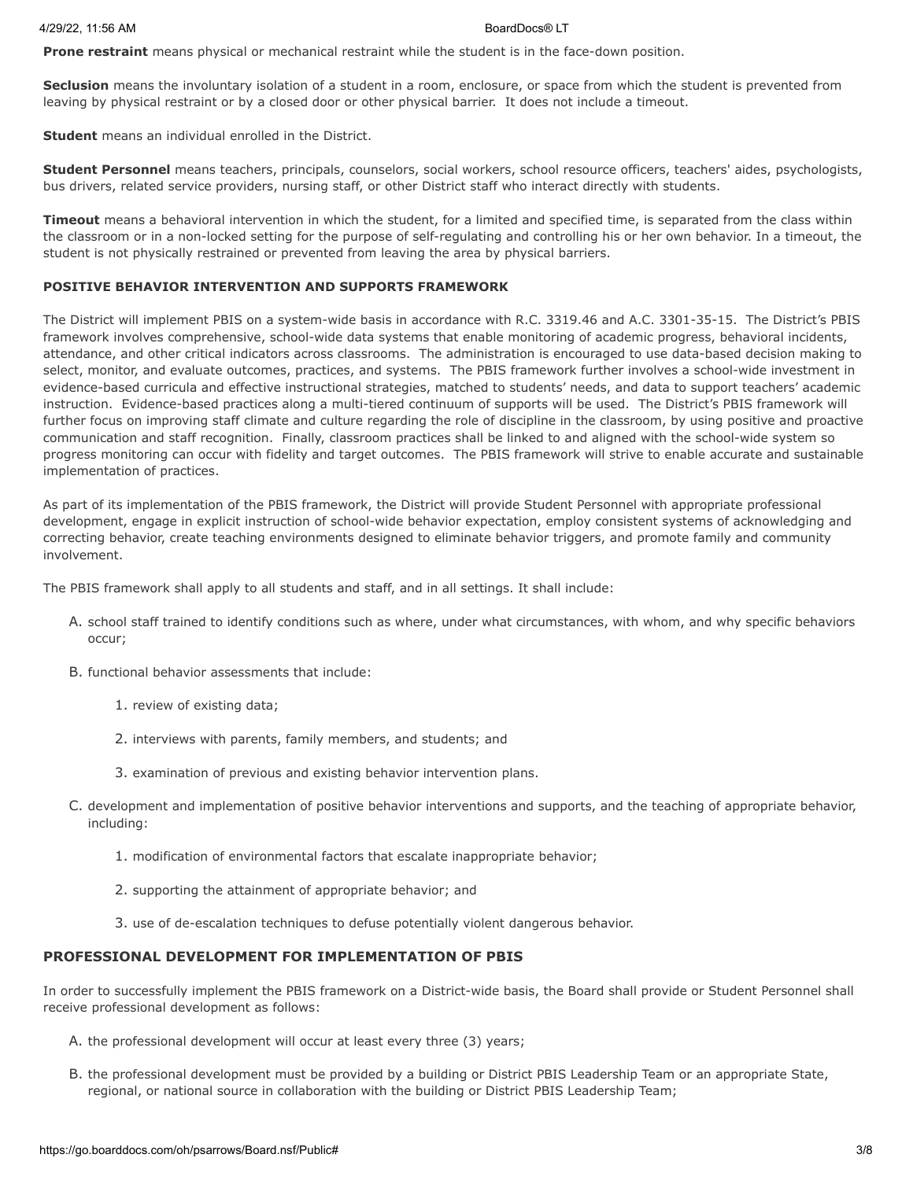**Prone restraint** means physical or mechanical restraint while the student is in the face-down position.

**Seclusion** means the involuntary isolation of a student in a room, enclosure, or space from which the student is prevented from leaving by physical restraint or by a closed door or other physical barrier. It does not include a timeout.

**Student** means an individual enrolled in the District.

**Student Personnel** means teachers, principals, counselors, social workers, school resource officers, teachers' aides, psychologists, bus drivers, related service providers, nursing staff, or other District staff who interact directly with students.

**Timeout** means a behavioral intervention in which the student, for a limited and specified time, is separated from the class within the classroom or in a non-locked setting for the purpose of self-regulating and controlling his or her own behavior. In a timeout, the student is not physically restrained or prevented from leaving the area by physical barriers.

### **POSITIVE BEHAVIOR INTERVENTION AND SUPPORTS FRAMEWORK**

The District will implement PBIS on a system-wide basis in accordance with R.C. 3319.46 and A.C. 3301-35-15. The District's PBIS framework involves comprehensive, school-wide data systems that enable monitoring of academic progress, behavioral incidents, attendance, and other critical indicators across classrooms. The administration is encouraged to use data-based decision making to select, monitor, and evaluate outcomes, practices, and systems. The PBIS framework further involves a school-wide investment in evidence-based curricula and effective instructional strategies, matched to students' needs, and data to support teachers' academic instruction. Evidence-based practices along a multi-tiered continuum of supports will be used. The District's PBIS framework will further focus on improving staff climate and culture regarding the role of discipline in the classroom, by using positive and proactive communication and staff recognition. Finally, classroom practices shall be linked to and aligned with the school-wide system so progress monitoring can occur with fidelity and target outcomes. The PBIS framework will strive to enable accurate and sustainable implementation of practices.

As part of its implementation of the PBIS framework, the District will provide Student Personnel with appropriate professional development, engage in explicit instruction of school-wide behavior expectation, employ consistent systems of acknowledging and correcting behavior, create teaching environments designed to eliminate behavior triggers, and promote family and community involvement.

The PBIS framework shall apply to all students and staff, and in all settings. It shall include:

- A. school staff trained to identify conditions such as where, under what circumstances, with whom, and why specific behaviors occur;
- B. functional behavior assessments that include:
	- 1. review of existing data;
	- 2. interviews with parents, family members, and students; and
	- 3. examination of previous and existing behavior intervention plans.
- C. development and implementation of positive behavior interventions and supports, and the teaching of appropriate behavior, including:
	- 1. modification of environmental factors that escalate inappropriate behavior;
	- 2. supporting the attainment of appropriate behavior; and
	- 3. use of de-escalation techniques to defuse potentially violent dangerous behavior.

# **PROFESSIONAL DEVELOPMENT FOR IMPLEMENTATION OF PBIS**

In order to successfully implement the PBIS framework on a District-wide basis, the Board shall provide or Student Personnel shall receive professional development as follows:

- A. the professional development will occur at least every three (3) years;
- B. the professional development must be provided by a building or District PBIS Leadership Team or an appropriate State, regional, or national source in collaboration with the building or District PBIS Leadership Team;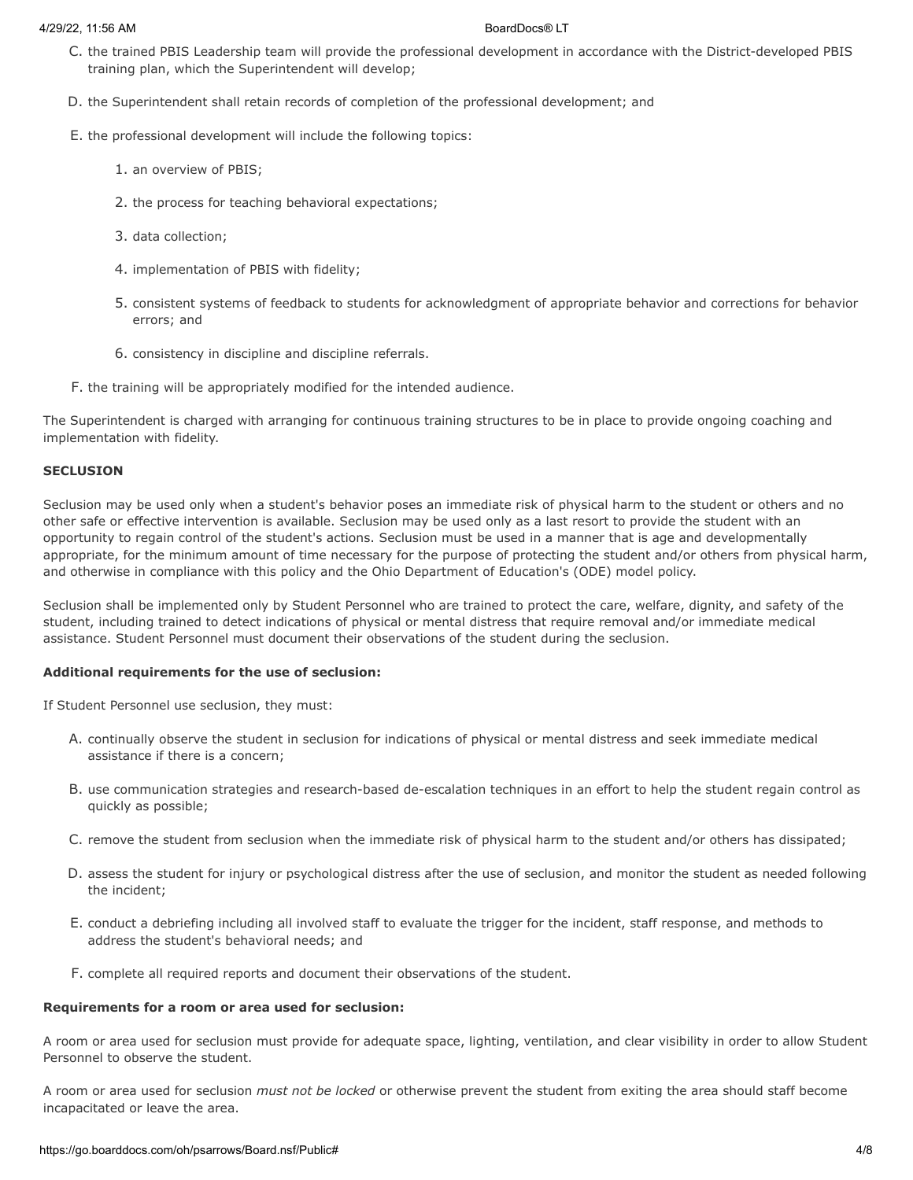- C. the trained PBIS Leadership team will provide the professional development in accordance with the District-developed PBIS training plan, which the Superintendent will develop;
- D. the Superintendent shall retain records of completion of the professional development; and
- E. the professional development will include the following topics:
	- 1. an overview of PBIS;
	- 2. the process for teaching behavioral expectations;
	- 3. data collection;
	- 4. implementation of PBIS with fidelity;
	- 5. consistent systems of feedback to students for acknowledgment of appropriate behavior and corrections for behavior errors; and
	- 6. consistency in discipline and discipline referrals.
- F. the training will be appropriately modified for the intended audience.

The Superintendent is charged with arranging for continuous training structures to be in place to provide ongoing coaching and implementation with fidelity.

### **SECLUSION**

Seclusion may be used only when a student's behavior poses an immediate risk of physical harm to the student or others and no other safe or effective intervention is available. Seclusion may be used only as a last resort to provide the student with an opportunity to regain control of the student's actions. Seclusion must be used in a manner that is age and developmentally appropriate, for the minimum amount of time necessary for the purpose of protecting the student and/or others from physical harm, and otherwise in compliance with this policy and the Ohio Department of Education's (ODE) model policy.

Seclusion shall be implemented only by Student Personnel who are trained to protect the care, welfare, dignity, and safety of the student, including trained to detect indications of physical or mental distress that require removal and/or immediate medical assistance. Student Personnel must document their observations of the student during the seclusion.

## **Additional requirements for the use of seclusion:**

If Student Personnel use seclusion, they must:

- A. continually observe the student in seclusion for indications of physical or mental distress and seek immediate medical assistance if there is a concern;
- B. use communication strategies and research-based de-escalation techniques in an effort to help the student regain control as quickly as possible;
- C. remove the student from seclusion when the immediate risk of physical harm to the student and/or others has dissipated;
- D. assess the student for injury or psychological distress after the use of seclusion, and monitor the student as needed following the incident;
- E. conduct a debriefing including all involved staff to evaluate the trigger for the incident, staff response, and methods to address the student's behavioral needs; and
- F. complete all required reports and document their observations of the student.

## **Requirements for a room or area used for seclusion:**

A room or area used for seclusion must provide for adequate space, lighting, ventilation, and clear visibility in order to allow Student Personnel to observe the student.

A room or area used for seclusion *must not be locked* or otherwise prevent the student from exiting the area should staff become incapacitated or leave the area.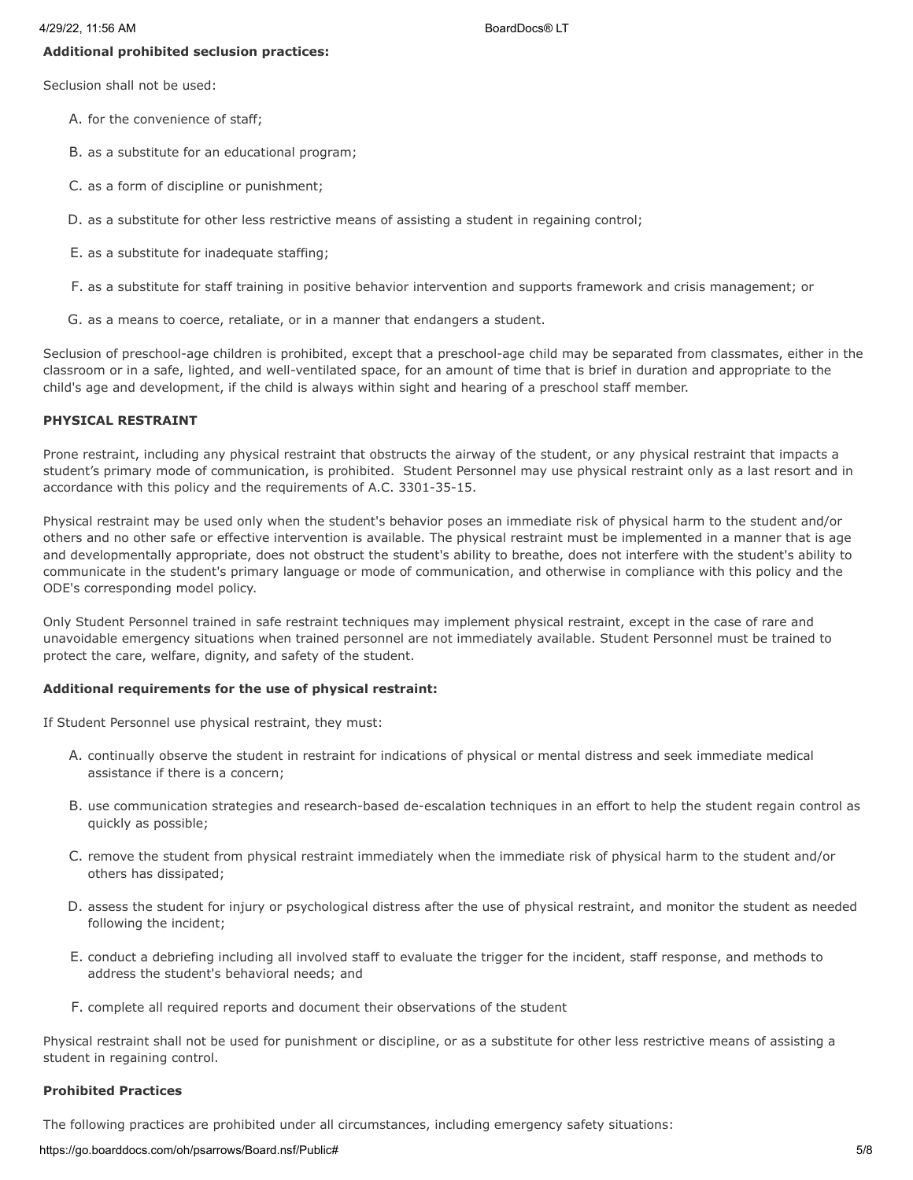### **Additional prohibited seclusion practices:**

Seclusion shall not be used:

- A. for the convenience of staff;
- B. as a substitute for an educational program;
- C. as a form of discipline or punishment;
- D. as a substitute for other less restrictive means of assisting a student in regaining control;
- E. as a substitute for inadequate staffing;
- F. as a substitute for staff training in positive behavior intervention and supports framework and crisis management; or
- G. as a means to coerce, retaliate, or in a manner that endangers a student.

Seclusion of preschool-age children is prohibited, except that a preschool-age child may be separated from classmates, either in the classroom or in a safe, lighted, and well-ventilated space, for an amount of time that is brief in duration and appropriate to the child's age and development, if the child is always within sight and hearing of a preschool staff member.

#### **PHYSICAL RESTRAINT**

Prone restraint, including any physical restraint that obstructs the airway of the student, or any physical restraint that impacts a student's primary mode of communication, is prohibited. Student Personnel may use physical restraint only as a last resort and in accordance with this policy and the requirements of A.C. 3301-35-15.

Physical restraint may be used only when the student's behavior poses an immediate risk of physical harm to the student and/or others and no other safe or effective intervention is available. The physical restraint must be implemented in a manner that is age and developmentally appropriate, does not obstruct the student's ability to breathe, does not interfere with the student's ability to communicate in the student's primary language or mode of communication, and otherwise in compliance with this policy and the ODE's corresponding model policy.

Only Student Personnel trained in safe restraint techniques may implement physical restraint, except in the case of rare and unavoidable emergency situations when trained personnel are not immediately available. Student Personnel must be trained to protect the care, welfare, dignity, and safety of the student.

#### **Additional requirements for the use of physical restraint:**

If Student Personnel use physical restraint, they must:

- A. continually observe the student in restraint for indications of physical or mental distress and seek immediate medical assistance if there is a concern;
- B. use communication strategies and research-based de-escalation techniques in an effort to help the student regain control as quickly as possible;
- C. remove the student from physical restraint immediately when the immediate risk of physical harm to the student and/or others has dissipated;
- D. assess the student for injury or psychological distress after the use of physical restraint, and monitor the student as needed following the incident;
- E. conduct a debriefing including all involved staff to evaluate the trigger for the incident, staff response, and methods to address the student's behavioral needs; and
- F. complete all required reports and document their observations of the student

Physical restraint shall not be used for punishment or discipline, or as a substitute for other less restrictive means of assisting a student in regaining control.

### **Prohibited Practices**

The following practices are prohibited under all circumstances, including emergency safety situations:

https://go.boarddocs.com/oh/psarrows/Board.nsf/Public# 5/8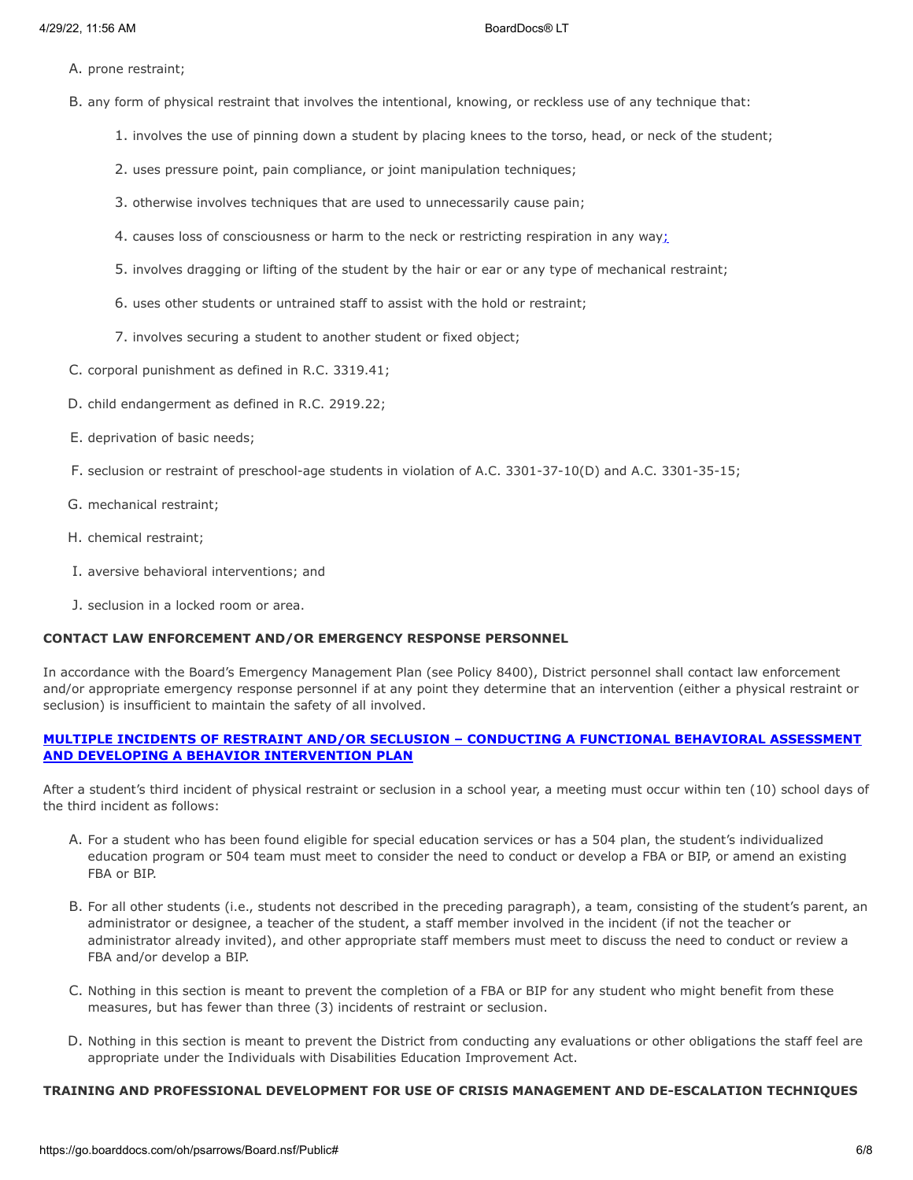- A. prone restraint;
- B. any form of physical restraint that involves the intentional, knowing, or reckless use of any technique that:
	- 1. involves the use of pinning down a student by placing knees to the torso, head, or neck of the student;
	- 2. uses pressure point, pain compliance, or joint manipulation techniques;
	- 3. otherwise involves techniques that are used to unnecessarily cause pain;
	- 4. causes loss of consciousness or harm to the neck or restricting respiration in any way;
	- 5. involves dragging or lifting of the student by the hair or ear or any type of mechanical restraint;
	- 6. uses other students or untrained staff to assist with the hold or restraint;
	- 7. involves securing a student to another student or fixed object;
- C. corporal punishment as defined in R.C. 3319.41;
- D. child endangerment as defined in R.C. 2919.22;
- E. deprivation of basic needs;
- F. seclusion or restraint of preschool-age students in violation of A.C. 3301-37-10(D) and A.C. 3301-35-15;
- G. mechanical restraint;
- H. chemical restraint;
- I. aversive behavioral interventions; and
- J. seclusion in a locked room or area.

# **CONTACT LAW ENFORCEMENT AND/OR EMERGENCY RESPONSE PERSONNEL**

In accordance with the Board's Emergency Management Plan (see Policy 8400), District personnel shall contact law enforcement and/or appropriate emergency response personnel if at any point they determine that an intervention (either a physical restraint or seclusion) is insufficient to maintain the safety of all involved.

# **MULTIPLE INCIDENTS OF RESTRAINT AND/OR SECLUSION – CONDUCTING A FUNCTIONAL BEHAVIORAL ASSESSMENT AND DEVELOPING A BEHAVIOR INTERVENTION PLAN**

After a student's third incident of physical restraint or seclusion in a school year, a meeting must occur within ten (10) school days of the third incident as follows:

- A. For a student who has been found eligible for special education services or has a 504 plan, the student's individualized education program or 504 team must meet to consider the need to conduct or develop a FBA or BIP, or amend an existing FBA or BIP.
- B. For all other students (i.e., students not described in the preceding paragraph), a team, consisting of the student's parent, an administrator or designee, a teacher of the student, a staff member involved in the incident (if not the teacher or administrator already invited), and other appropriate staff members must meet to discuss the need to conduct or review a FBA and/or develop a BIP.
- C. Nothing in this section is meant to prevent the completion of a FBA or BIP for any student who might benefit from these measures, but has fewer than three (3) incidents of restraint or seclusion.
- D. Nothing in this section is meant to prevent the District from conducting any evaluations or other obligations the staff feel are appropriate under the Individuals with Disabilities Education Improvement Act.

# **TRAINING AND PROFESSIONAL DEVELOPMENT FOR USE OF CRISIS MANAGEMENT AND DE-ESCALATION TECHNIQUES**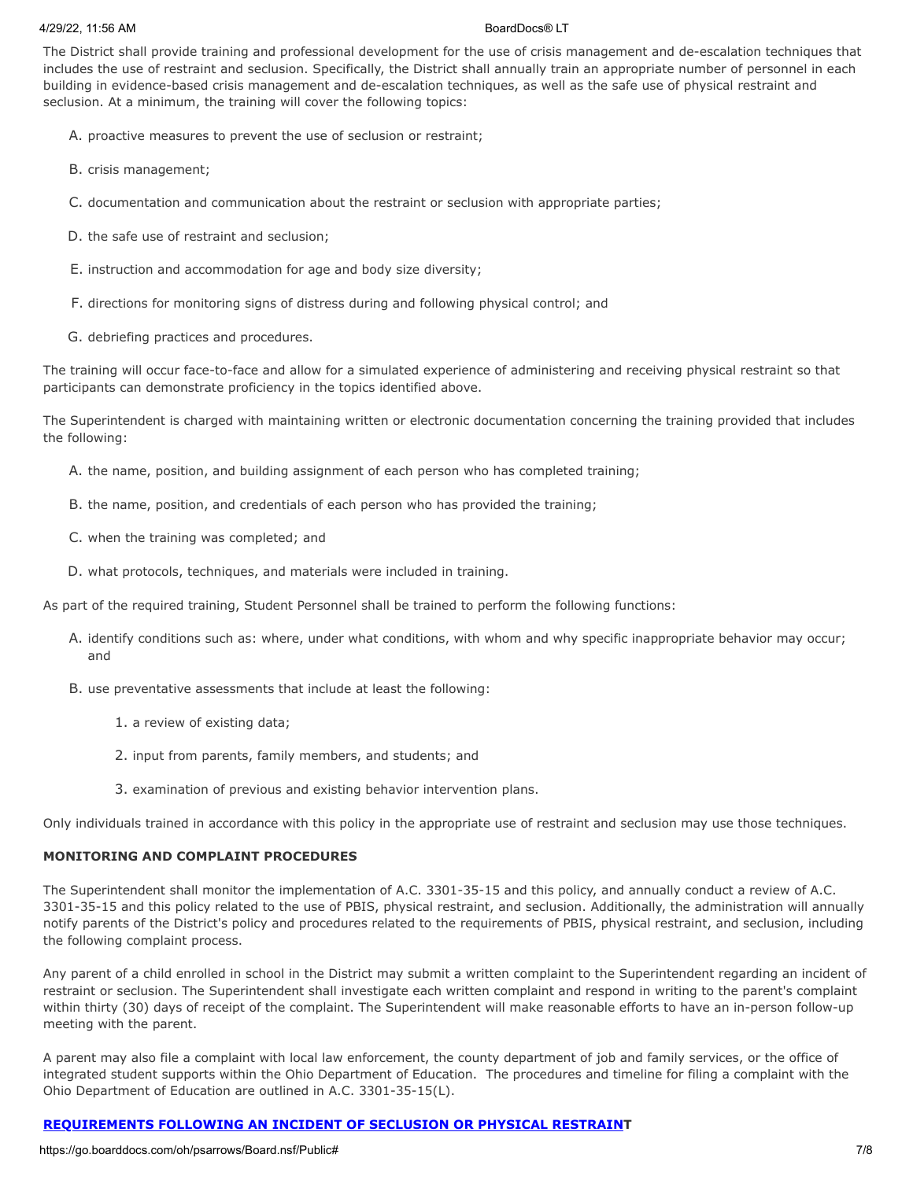#### 4/29/22, 11:56 AM BoardDocs® LT

The District shall provide training and professional development for the use of crisis management and de-escalation techniques that includes the use of restraint and seclusion. Specifically, the District shall annually train an appropriate number of personnel in each building in evidence-based crisis management and de-escalation techniques, as well as the safe use of physical restraint and seclusion. At a minimum, the training will cover the following topics:

- A. proactive measures to prevent the use of seclusion or restraint;
- B. crisis management;
- C. documentation and communication about the restraint or seclusion with appropriate parties;
- D. the safe use of restraint and seclusion;
- E. instruction and accommodation for age and body size diversity;
- F. directions for monitoring signs of distress during and following physical control; and
- G. debriefing practices and procedures.

The training will occur face-to-face and allow for a simulated experience of administering and receiving physical restraint so that participants can demonstrate proficiency in the topics identified above.

The Superintendent is charged with maintaining written or electronic documentation concerning the training provided that includes the following:

- A. the name, position, and building assignment of each person who has completed training;
- B. the name, position, and credentials of each person who has provided the training;
- C. when the training was completed; and
- D. what protocols, techniques, and materials were included in training.

As part of the required training, Student Personnel shall be trained to perform the following functions:

- A. identify conditions such as: where, under what conditions, with whom and why specific inappropriate behavior may occur; and
- B. use preventative assessments that include at least the following:
	- 1. a review of existing data;
	- 2. input from parents, family members, and students; and
	- 3. examination of previous and existing behavior intervention plans.

Only individuals trained in accordance with this policy in the appropriate use of restraint and seclusion may use those techniques.

## **MONITORING AND COMPLAINT PROCEDURES**

The Superintendent shall monitor the implementation of A.C. 3301-35-15 and this policy, and annually conduct a review of A.C. 3301-35-15 and this policy related to the use of PBIS, physical restraint, and seclusion. Additionally, the administration will annually notify parents of the District's policy and procedures related to the requirements of PBIS, physical restraint, and seclusion, including the following complaint process.

Any parent of a child enrolled in school in the District may submit a written complaint to the Superintendent regarding an incident of restraint or seclusion. The Superintendent shall investigate each written complaint and respond in writing to the parent's complaint within thirty (30) days of receipt of the complaint. The Superintendent will make reasonable efforts to have an in-person follow-up meeting with the parent.

A parent may also file a complaint with local law enforcement, the county department of job and family services, or the office of integrated student supports within the Ohio Department of Education. The procedures and timeline for filing a complaint with the Ohio Department of Education are outlined in A.C. 3301-35-15(L).

# **REQUIREMENTS FOLLOWING AN INCIDENT OF SECLUSION OR PHYSICAL RESTRAINT**